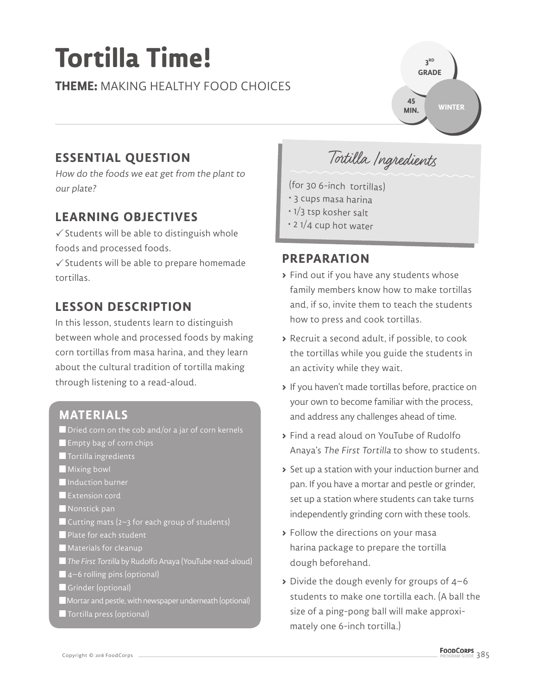# **Tortilla Time!**

**THEME:** MAKING HEALTHY FOOD CHOICES

## **ESSENTIAL QUESTION**

How do the foods we eat get from the plant to our plate?

## **LEARNING OBJECTIVES**

 $\checkmark$  Students will be able to distinguish whole foods and processed foods.

 $\checkmark$  Students will be able to prepare homemade tortillas.

## **LESSON DESCRIPTION**

In this lesson, students learn to distinguish between whole and processed foods by making corn tortillas from masa harina, and they learn about the cultural tradition of tortilla making through listening to a read-aloud.

#### **MATERIALS**

- $\blacksquare$  Dried corn on the cob and/or a jar of corn kernels
- **Exampty bag of corn chips**
- **T** Tortilla ingredients
- **Mixing bowl**
- **Induction burner**
- **Extension cord**
- Nonstick pan
- Cutting mats (2–3 for each group of students)
- **Plate for each student**
- **Materials for cleanup**
- The First Tortilla by Rudolfo Anaya (YouTube read-aloud)
- 4–6 rolling pins (optional)
- Grinder (optional)
- **Mortar and pestle, with newspaper underneath (optional)**
- **T** Tortilla press (optional)

Tortilla Ingredients

**3 RD GRADE** 

**45 MIN.**

**WINTER**

(for 30 6-inch tortillas)

- 3 cups masa harina
- 1/3 tsp kosher salt
- 2 1/4 cup hot water

#### **PREPARATION**

- **>** Find out if you have any students whose family members know how to make tortillas and, if so, invite them to teach the students how to press and cook tortillas.
- **>** Recruit a second adult, if possible, to cook the tortillas while you guide the students in an activity while they wait.
- **>** If you haven't made tortillas before, practice on your own to become familiar with the process, and address any challenges ahead of time.
- **>** Find a read aloud on YouTube of Rudolfo Anaya's The First Tortilla to show to students.
- **>** Set up a station with your induction burner and pan. If you have a mortar and pestle or grinder, set up a station where students can take turns independently grinding corn with these tools.
- **>** Follow the directions on your masa harina package to prepare the tortilla dough beforehand.
- **>** Divide the dough evenly for groups of 4–6 students to make one tortilla each. (A ball the size of a ping-pong ball will make approximately one 6-inch tortilla.)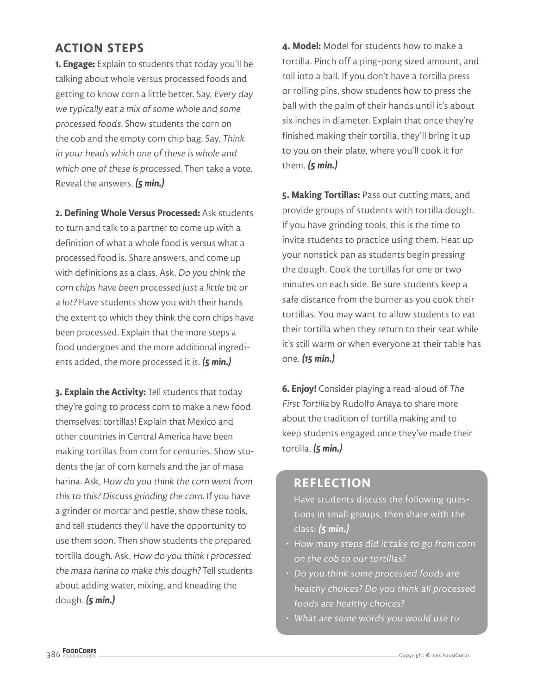## **ACTION STEPS**

**1. Engage:** Explain to students that today you'll be talking about whole versus processed foods and getting to know corn a little better. Say, Every day we typically eat a mix of some whole and some processed foods. Show students the corn on the cob and the empty corn chip bag. Say, Think in your heads which one of these is whole and which one of these is processed. Then take a vote. Reveal the answers. **(5 min.)**

**2. Defining Whole Versus Processed:** Ask students to turn and talk to a partner to come up with a definition of what a whole food is versus what a processed food is. Share answers, and come up with definitions as a class. Ask, Do you think the corn chips have been processed just a little bit or a lot? Have students show you with their hands the extent to which they think the corn chips have been processed. Explain that the more steps a food undergoes and the more additional ingredients added, the more processed it is. **(5 min.)**

**3. Explain the Activity:** Tell students that today they're going to process corn to make a new food themselves: tortillas! Explain that Mexico and other countries in Central America have been making tortillas from corn for centuries. Show students the jar of corn kernels and the jar of masa harina. Ask, How do you think the corn went from this to this? Discuss grinding the corn. If you have a grinder or mortar and pestle, show these tools, and tell students they'll have the opportunity to use them soon. Then show students the prepared tortilla dough. Ask, How do you think I processed the masa harina to make this dough? Tell students about adding water, mixing, and kneading the dough. **(5 min.)**

**4. Model:** Model for students how to make a tortilla. Pinch off a ping-pong sized amount, and roll into a ball. If you don't have a tortilla press or rolling pins, show students how to press the ball with the palm of their hands until it's about six inches in diameter. Explain that once they're finished making their tortilla, they'll bring it up to you on their plate, where you'll cook it for them. **(5 min.)**

**5. Making Tortillas:** Pass out cutting mats, and provide groups of students with tortilla dough. If you have grinding tools, this is the time to invite students to practice using them. Heat up your nonstick pan as students begin pressing the dough. Cook the tortillas for one or two minutes on each side. Be sure students keep a safe distance from the burner as you cook their tortillas. You may want to allow students to eat their tortilla when they return to their seat while it's still warm or when everyone at their table has one. **(15 min.)**

**6. Enjoy!** Consider playing a read-aloud of The First Tortilla by Rudolfo Anaya to share more about the tradition of tortilla making and to keep students engaged once they've made their tortilla. **(5 min.)**

#### **REFLECTION**

Have students discuss the following questions in small groups, then share with the class: **(5 min.)**

- How many steps did it take to go from corn on the cob to our tortillas?
- Do you think some processed foods are healthy choices? Do you think all processed foods are healthy choices?
- What are some words you would use to